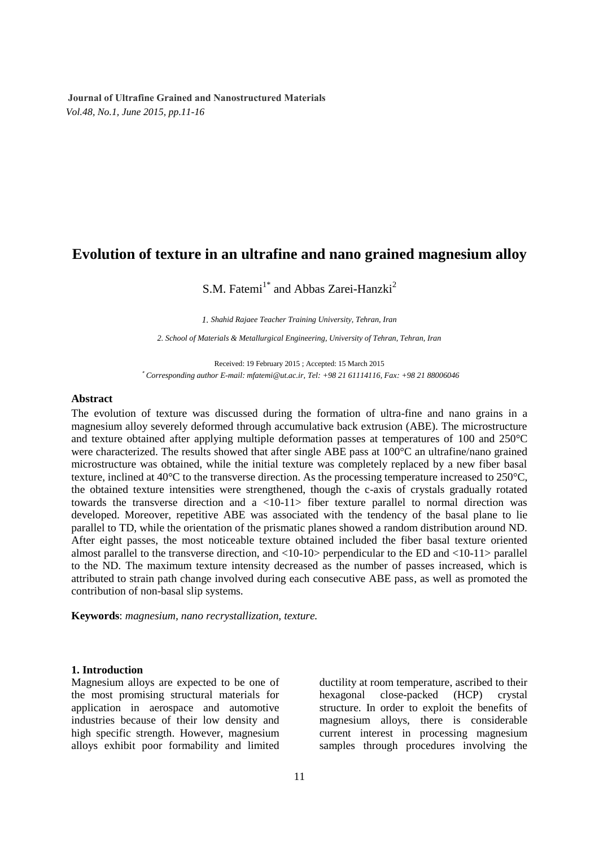# **Evolution of texture in an ultrafine and nano grained magnesium alloy**

S.M. Fatemi<sup>1\*</sup> and Abbas Zarei-Hanzki<sup>2</sup>

*1. Shahid Rajaee Teacher Training University, Tehran, Iran* 

*2. School of Materials & Metallurgical Engineering, University of Tehran, Tehran, Iran*

Received: 19 February 2015 ; Accepted: 15 March 2015 **\*** *Corresponding author E-mail: mfatemi@ut.ac.ir, Tel: +98 21 61114116, Fax: +98 21 88006046*

## **Abstract**

The evolution of texture was discussed during the formation of ultra-fine and nano grains in a magnesium alloy severely deformed through accumulative back extrusion (ABE). The microstructure and texture obtained after applying multiple deformation passes at temperatures of 100 and 250°C were characterized. The results showed that after single ABE pass at 100°C an ultrafine/nano grained microstructure was obtained, while the initial texture was completely replaced by a new fiber basal texture, inclined at 40°C to the transverse direction. As the processing temperature increased to 250°C, the obtained texture intensities were strengthened, though the c-axis of crystals gradually rotated towards the transverse direction and a <10-11> fiber texture parallel to normal direction was developed. Moreover, repetitive ABE was associated with the tendency of the basal plane to lie parallel to TD, while the orientation of the prismatic planes showed a random distribution around ND. After eight passes, the most noticeable texture obtained included the fiber basal texture oriented almost parallel to the transverse direction, and <10-10> perpendicular to the ED and <10-11> parallel to the ND. The maximum texture intensity decreased as the number of passes increased, which is attributed to strain path change involved during each consecutive ABE pass, as well as promoted the contribution of non-basal slip systems.

**Keywords**: *magnesium, nano recrystallization, texture.*

#### **1. Introduction**

Magnesium alloys are expected to be one of the most promising structural materials for application in aerospace and automotive industries because of their low density and high specific strength. However, magnesium alloys exhibit poor formability and limited

ductility at room temperature, ascribed to their hexagonal close-packed (HCP) crystal structure. In order to exploit the benefits of magnesium alloys, there is considerable current interest in processing magnesium samples through procedures involving the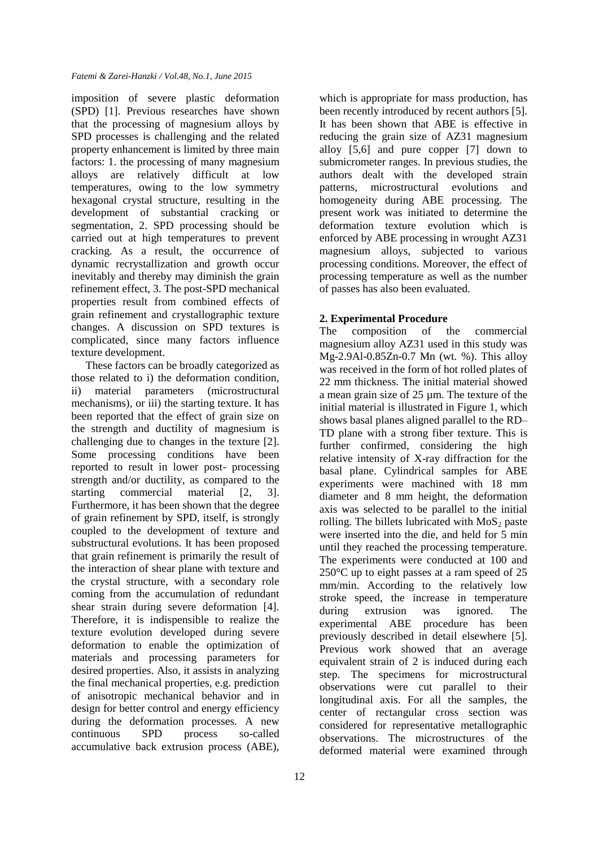imposition of severe plastic deformation (SPD) [1]. Previous researches have shown that the processing of magnesium alloys by SPD processes is challenging and the related property enhancement is limited by three main factors: 1. the processing of many magnesium alloys are relatively difficult at low temperatures, owing to the low symmetry hexagonal crystal structure, resulting in the development of substantial cracking or segmentation, 2. SPD processing should be carried out at high temperatures to prevent cracking. As a result, the occurrence of dynamic recrystallization and growth occur inevitably and thereby may diminish the grain refinement effect, 3. The post-SPD mechanical properties result from combined effects of grain refinement and crystallographic texture changes. A discussion on SPD textures is complicated, since many factors influence texture development.

These factors can be broadly categorized as those related to i) the deformation condition, ii) material parameters (microstructural mechanisms), or iii) the starting texture. It has been reported that the effect of grain size on the strength and ductility of magnesium is challenging due to changes in the texture [2]. Some processing conditions have been reported to result in lower post- processing strength and/or ductility, as compared to the starting commercial material [2, 3]. Furthermore, it has been shown that the degree of grain refinement by SPD, itself, is strongly coupled to the development of texture and substructural evolutions. It has been proposed that grain refinement is primarily the result of the interaction of shear plane with texture and the crystal structure, with a secondary role coming from the accumulation of redundant shear strain during severe deformation [4]. Therefore, it is indispensible to realize the texture evolution developed during severe deformation to enable the optimization of materials and processing parameters for desired properties. Also, it assists in analyzing the final mechanical properties, e.g. prediction of anisotropic mechanical behavior and in design for better control and energy efficiency during the deformation processes. A new continuous SPD process so-called accumulative back extrusion process (ABE), which is appropriate for mass production, has been recently introduced by recent authors [5]. It has been shown that ABE is effective in reducing the grain size of AZ31 magnesium alloy [5,6] and pure copper [7] down to submicrometer ranges. In previous studies, the authors dealt with the developed strain patterns, microstructural evolutions and homogeneity during ABE processing. The present work was initiated to determine the deformation texture evolution which is enforced by ABE processing in wrought AZ31 magnesium alloys, subjected to various processing conditions. Moreover, the effect of processing temperature as well as the number of passes has also been evaluated.

## **2. Experimental Procedure**

The composition of the commercial magnesium alloy AZ31 used in this study was Mg-2.9Al-0.85Zn-0.7 Mn (wt. %). This alloy was received in the form of hot rolled plates of 22 mm thickness. The initial material showed a mean grain size of 25 µm. The texture of the initial material is illustrated in Figure 1, which shows basal planes aligned parallel to the RD– TD plane with a strong fiber texture. This is further confirmed, considering the high relative intensity of X-ray diffraction for the basal plane. Cylindrical samples for ABE experiments were machined with 18 mm diameter and 8 mm height, the deformation axis was selected to be parallel to the initial rolling. The billets lubricated with  $MoS<sub>2</sub>$  paste were inserted into the die, and held for 5 min until they reached the processing temperature. The experiments were conducted at 100 and 250°C up to eight passes at a ram speed of 25 mm/min. According to the relatively low stroke speed, the increase in temperature during extrusion was ignored. The experimental ABE procedure has been previously described in detail elsewhere [5]. Previous work showed that an average equivalent strain of 2 is induced during each step. The specimens for microstructural observations were cut parallel to their longitudinal axis. For all the samples, the center of rectangular cross section was considered for representative metallographic observations. The microstructures of the deformed material were examined through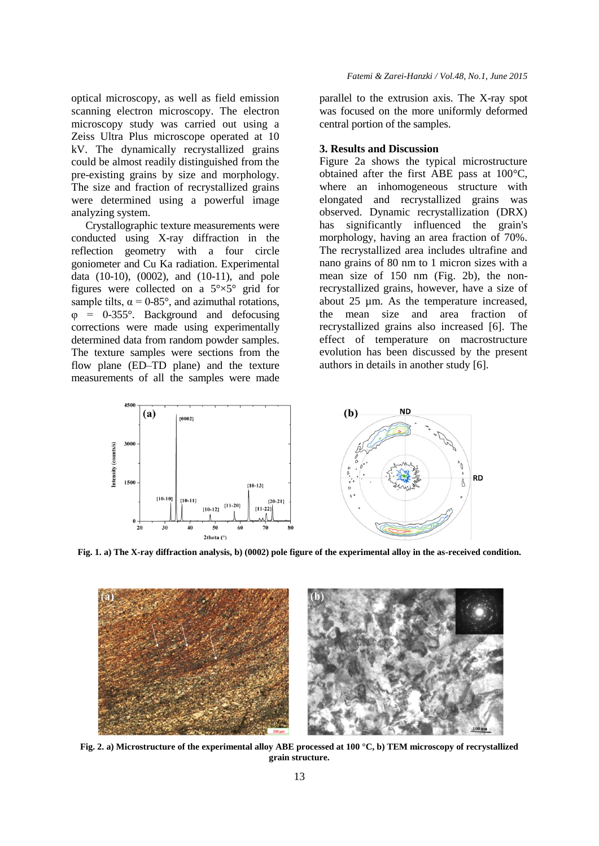optical microscopy, as well as field emission scanning electron microscopy. The electron microscopy study was carried out using a Zeiss Ultra Plus microscope operated at 10 kV. The dynamically recrystallized grains could be almost readily distinguished from the pre-existing grains by size and morphology. The size and fraction of recrystallized grains were determined using a powerful image analyzing system.

Crystallographic texture measurements were conducted using X-ray diffraction in the reflection geometry with a four circle goniometer and Cu Ka radiation. Experimental data (10-10), (0002), and (10-11), and pole figures were collected on a  $5^{\circ} \times 5^{\circ}$  grid for sample tilts,  $\alpha = 0.85^{\circ}$ , and azimuthal rotations,  $\varphi$  = 0-355°. Background and defocusing corrections were made using experimentally determined data from random powder samples. The texture samples were sections from the flow plane (ED–TD plane) and the texture measurements of all the samples were made parallel to the extrusion axis. The X-ray spot was focused on the more uniformly deformed central portion of the samples.

## **3. Results and Discussion**

Figure 2a shows the typical microstructure obtained after the first ABE pass at 100°C, where an inhomogeneous structure with elongated and recrystallized grains was observed. Dynamic recrystallization (DRX) has significantly influenced the grain's morphology, having an area fraction of 70%. The recrystallized area includes ultrafine and nano grains of 80 nm to 1 micron sizes with a mean size of 150 nm (Fig. 2b), the nonrecrystallized grains, however, have a size of about 25 µm. As the temperature increased, the mean size and area fraction of recrystallized grains also increased [6]. The effect of temperature on macrostructure evolution has been discussed by the present authors in details in another study [6].



**Fig. 1. a) The X-ray diffraction analysis, b) (0002) pole figure of the experimental alloy in the as-received condition.**



**Fig. 2. a) Microstructure of the experimental alloy ABE processed at 100 °C, b) TEM microscopy of recrystallized grain structure.**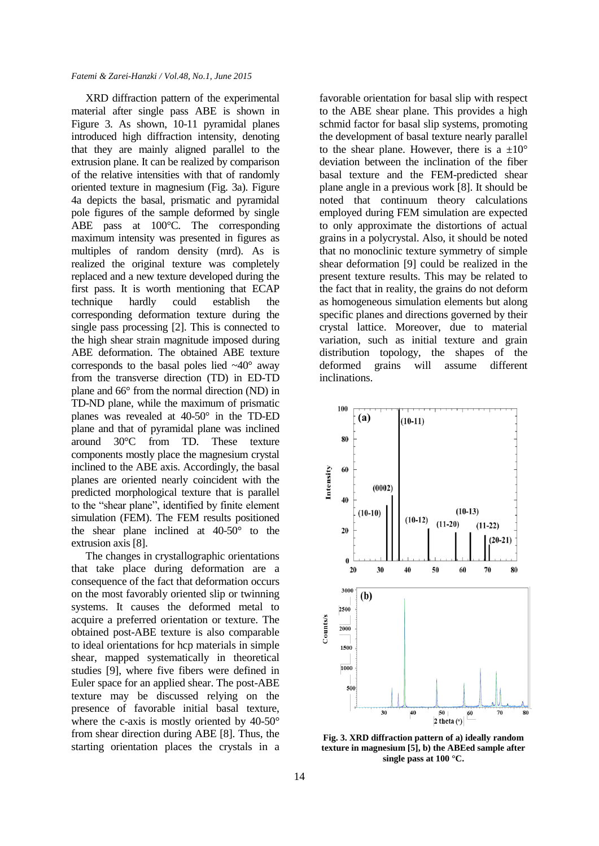#### *Fatemi & Zarei-Hanzki / Vol.48, No.1, June 2015*

XRD diffraction pattern of the experimental material after single pass ABE is shown in Figure 3. As shown, 10-11 pyramidal planes introduced high diffraction intensity, denoting that they are mainly aligned parallel to the extrusion plane. It can be realized by comparison of the relative intensities with that of randomly oriented texture in magnesium (Fig. 3a). Figure 4a depicts the basal, prismatic and pyramidal pole figures of the sample deformed by single ABE pass at 100°C. The corresponding maximum intensity was presented in figures as multiples of random density (mrd). As is realized the original texture was completely replaced and a new texture developed during the first pass. It is worth mentioning that ECAP technique hardly could establish the corresponding deformation texture during the single pass processing [2]. This is connected to the high shear strain magnitude imposed during ABE deformation. The obtained ABE texture corresponds to the basal poles lied  $~\sim$ 40 $^{\circ}$  away from the transverse direction (TD) in ED-TD plane and 66° from the normal direction (ND) in TD-ND plane, while the maximum of prismatic planes was revealed at 40-50° in the TD-ED plane and that of pyramidal plane was inclined around 30°C from TD. These texture components mostly place the magnesium crystal inclined to the ABE axis. Accordingly, the basal planes are oriented nearly coincident with the predicted morphological texture that is parallel to the "shear plane", identified by finite element simulation (FEM). The FEM results positioned the shear plane inclined at 40-50° to the extrusion axis [8].

The changes in crystallographic orientations that take place during deformation are a consequence of the fact that deformation occurs on the most favorably oriented slip or twinning systems. It causes the deformed metal to acquire a preferred orientation or texture. The obtained post-ABE texture is also comparable to ideal orientations for hcp materials in simple shear, mapped systematically in theoretical studies [9], where five fibers were defined in Euler space for an applied shear. The post-ABE texture may be discussed relying on the presence of favorable initial basal texture, where the c-axis is mostly oriented by 40-50° from shear direction during ABE [8]. Thus, the starting orientation places the crystals in a favorable orientation for basal slip with respect to the ABE shear plane. This provides a high schmid factor for basal slip systems, promoting the development of basal texture nearly parallel to the shear plane. However, there is a  $\pm 10^{\circ}$ deviation between the inclination of the fiber basal texture and the FEM-predicted shear plane angle in a previous work [8]. It should be noted that continuum theory calculations employed during FEM simulation are expected to only approximate the distortions of actual grains in a polycrystal. Also, it should be noted that no monoclinic texture symmetry of simple shear deformation [9] could be realized in the present texture results. This may be related to the fact that in reality, the grains do not deform as homogeneous simulation elements but along specific planes and directions governed by their crystal lattice. Moreover, due to material variation, such as initial texture and grain distribution topology, the shapes of the deformed grains will assume different inclinations.



**Fig. 3. XRD diffraction pattern of a) ideally random texture in magnesium [5], b) the ABEed sample after single pass at 100 °C.**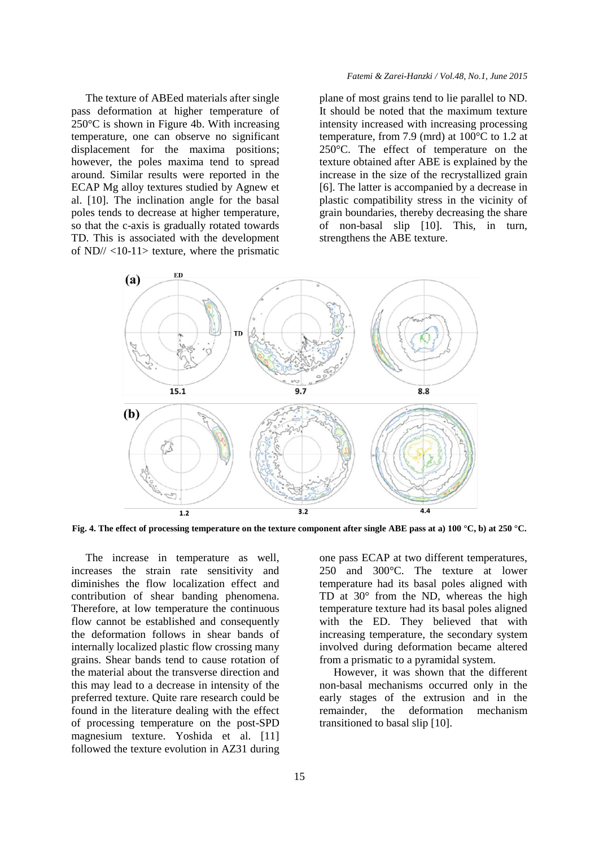The texture of ABEed materials after single pass deformation at higher temperature of 250°C is shown in Figure 4b. With increasing temperature, one can observe no significant displacement for the maxima positions; however, the poles maxima tend to spread around. Similar results were reported in the ECAP Mg alloy textures studied by Agnew et al. [10]. The inclination angle for the basal poles tends to decrease at higher temperature, so that the c-axis is gradually rotated towards TD. This is associated with the development of ND// <10-11> texture, where the prismatic

#### *Fatemi & Zarei-Hanzki / Vol.48, No.1, June 2015*

plane of most grains tend to lie parallel to ND. It should be noted that the maximum texture intensity increased with increasing processing temperature, from 7.9 (mrd) at 100°C to 1.2 at 250°C. The effect of temperature on the texture obtained after ABE is explained by the increase in the size of the recrystallized grain [6]. The latter is accompanied by a decrease in plastic compatibility stress in the vicinity of grain boundaries, thereby decreasing the share of non-basal slip [10]. This, in turn, strengthens the ABE texture.



**Fig. 4. The effect of processing temperature on the texture component after single ABE pass at a) 100 °C, b) at 250 °C.**

The increase in temperature as well, increases the strain rate sensitivity and diminishes the flow localization effect and contribution of shear banding phenomena. Therefore, at low temperature the continuous flow cannot be established and consequently the deformation follows in shear bands of internally localized plastic flow crossing many grains. Shear bands tend to cause rotation of the material about the transverse direction and this may lead to a decrease in intensity of the preferred texture. Quite rare research could be found in the literature dealing with the effect of processing temperature on the post-SPD magnesium texture. Yoshida et al. [11] followed the texture evolution in AZ31 during one pass ECAP at two different temperatures, 250 and 300°C. The texture at lower temperature had its basal poles aligned with TD at 30° from the ND, whereas the high temperature texture had its basal poles aligned with the ED. They believed that with increasing temperature, the secondary system involved during deformation became altered from a prismatic to a pyramidal system.

However, it was shown that the different non-basal mechanisms occurred only in the early stages of the extrusion and in the remainder, the deformation mechanism transitioned to basal slip [10].